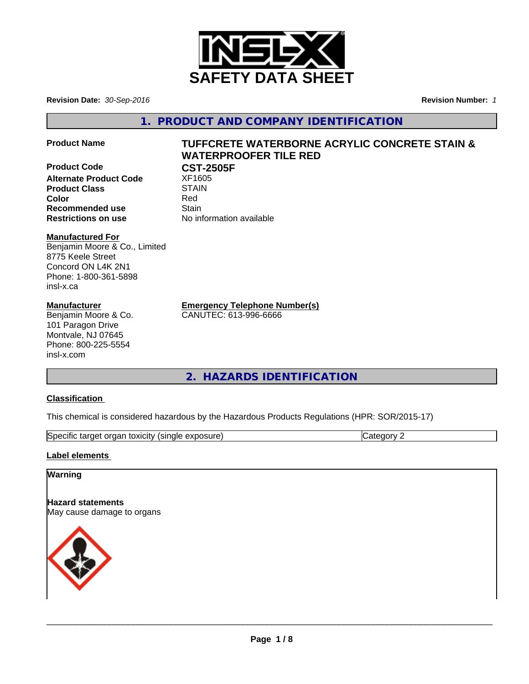

**Revision Date:** *30-Sep-2016* **Revision Number:** *1*

**1. PRODUCT AND COMPANY IDENTIFICATION**

**Product Name TUFFCRETE WATERBORNE ACRYLIC CONCRETE STAIN &**

**Alternate Product Code** XF1605 **Product Class** STAIN **Color** Red **Recommended use Stain Restrictions on use** No information available

## **WATERPROOFER TILE RED Product Code CST-2505F**

# **Manufactured For**

Benjamin Moore & Co., Limited 8775 Keele Street Concord ON L4K 2N1 Phone: 1-800-361-5898 insl-x.ca

# **Manufacturer**

Benjamin Moore & Co. 101 Paragon Drive Montvale, NJ 07645 Phone: 800-225-5554 insl-x.com

**Emergency Telephone Number(s)**

CANUTEC: 613-996-6666

# **2. HAZARDS IDENTIFICATION**

## **Classification**

This chemical is considered hazardous by the Hazardous Products Regulations (HPR: SOR/2015-17)

| ∽<br>00110<br>150e<br>sındı<br>ordar<br>ne<br>exposure<br><b>TOXIGILY</b><br><br>10 L<br>. |  |
|--------------------------------------------------------------------------------------------|--|

## **Label elements**

# **Warning**

**Hazard statements** May cause damage to organs



 $\overline{\phantom{a}}$  ,  $\overline{\phantom{a}}$  ,  $\overline{\phantom{a}}$  ,  $\overline{\phantom{a}}$  ,  $\overline{\phantom{a}}$  ,  $\overline{\phantom{a}}$  ,  $\overline{\phantom{a}}$  ,  $\overline{\phantom{a}}$  ,  $\overline{\phantom{a}}$  ,  $\overline{\phantom{a}}$  ,  $\overline{\phantom{a}}$  ,  $\overline{\phantom{a}}$  ,  $\overline{\phantom{a}}$  ,  $\overline{\phantom{a}}$  ,  $\overline{\phantom{a}}$  ,  $\overline{\phantom{a}}$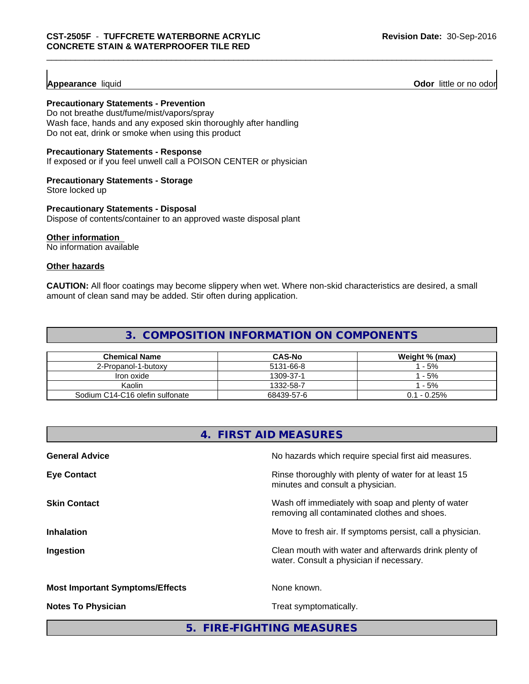## **Precautionary Statements - Prevention**

Do not breathe dust/fume/mist/vapors/spray Wash face, hands and any exposed skin thoroughly after handling Do not eat, drink or smoke when using this product

### **Precautionary Statements - Response**

If exposed or if you feel unwell call a POISON CENTER or physician

#### **Precautionary Statements - Storage**

Store locked up

#### **Precautionary Statements - Disposal**

Dispose of contents/container to an approved waste disposal plant

#### **Other information**

No information available

### **Other hazards**

**CAUTION:** All floor coatings may become slippery when wet. Where non-skid characteristics are desired, a small amount of clean sand may be added. Stir often during application.

# **3. COMPOSITION INFORMATION ON COMPONENTS**

| <b>Chemical Name</b>            | <b>CAS-No</b> | Weight % (max) |
|---------------------------------|---------------|----------------|
| 2-Propanol-1-butoxy             | 5131-66-8     | $-5%$          |
| Iron oxide                      | 1309-37-1     | $-5%$          |
| Kaolin                          | 1332-58-7     | $-5%$          |
| Sodium C14-C16 olefin sulfonate | 68439-57-6    | $0.1 - 0.25\%$ |

# **4. FIRST AID MEASURES**

| <b>General Advice</b>                  | No hazards which require special first aid measures.                                               |
|----------------------------------------|----------------------------------------------------------------------------------------------------|
| <b>Eye Contact</b>                     | Rinse thoroughly with plenty of water for at least 15<br>minutes and consult a physician.          |
| <b>Skin Contact</b>                    | Wash off immediately with soap and plenty of water<br>removing all contaminated clothes and shoes. |
| <b>Inhalation</b>                      | Move to fresh air. If symptoms persist, call a physician.                                          |
| Ingestion                              | Clean mouth with water and afterwards drink plenty of<br>water. Consult a physician if necessary.  |
| <b>Most Important Symptoms/Effects</b> | None known.                                                                                        |
| <b>Notes To Physician</b>              | Treat symptomatically.                                                                             |
|                                        |                                                                                                    |

**5. FIRE-FIGHTING MEASURES**

**Appearance** liquid **Odor** little or no odor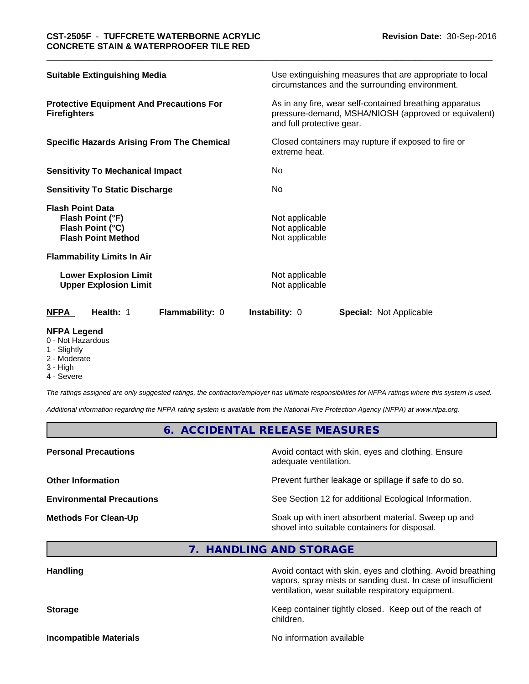| <b>Suitable Extinguishing Media</b>                                                          | Use extinguishing measures that are appropriate to local<br>circumstances and the surrounding environment.                                   |  |  |  |
|----------------------------------------------------------------------------------------------|----------------------------------------------------------------------------------------------------------------------------------------------|--|--|--|
| <b>Protective Equipment And Precautions For</b><br><b>Firefighters</b>                       | As in any fire, wear self-contained breathing apparatus<br>pressure-demand, MSHA/NIOSH (approved or equivalent)<br>and full protective gear. |  |  |  |
| <b>Specific Hazards Arising From The Chemical</b>                                            | Closed containers may rupture if exposed to fire or<br>extreme heat.                                                                         |  |  |  |
| <b>Sensitivity To Mechanical Impact</b>                                                      | No.                                                                                                                                          |  |  |  |
| <b>Sensitivity To Static Discharge</b>                                                       | No                                                                                                                                           |  |  |  |
| <b>Flash Point Data</b><br>Flash Point (°F)<br>Flash Point (°C)<br><b>Flash Point Method</b> | Not applicable<br>Not applicable<br>Not applicable                                                                                           |  |  |  |
| <b>Flammability Limits In Air</b>                                                            |                                                                                                                                              |  |  |  |
| <b>Lower Explosion Limit</b><br><b>Upper Explosion Limit</b>                                 | Not applicable<br>Not applicable                                                                                                             |  |  |  |
| Health: 1<br>Flammability: 0<br><b>NFPA</b>                                                  | <b>Instability: 0</b><br><b>Special: Not Applicable</b>                                                                                      |  |  |  |

#### **NFPA Legend**

- 0 Not Hazardous
- 1 Slightly
- 2 Moderate
- 3 High
- 4 Severe

*The ratings assigned are only suggested ratings, the contractor/employer has ultimate responsibilities for NFPA ratings where this system is used.*

*Additional information regarding the NFPA rating system is available from the National Fire Protection Agency (NFPA) at www.nfpa.org.*

# **6. ACCIDENTAL RELEASE MEASURES**

**Personal Precautions Precautions** Avoid contact with skin, eyes and clothing. Ensure adequate ventilation.

**Other Information Other Information Prevent further leakage or spillage if safe to do so.** 

**Environmental Precautions** See Section 12 for additional Ecological Information.

**Methods For Clean-Up Example 20 All 20 All 20 All 20 Soak up with inert absorbent material. Sweep up and** shovel into suitable containers for disposal.

**7. HANDLING AND STORAGE**

| <b>Handling</b>               | Avoid contact with skin, eyes and clothing. Avoid breathing<br>vapors, spray mists or sanding dust. In case of insufficient<br>ventilation, wear suitable respiratory equipment. |  |  |
|-------------------------------|----------------------------------------------------------------------------------------------------------------------------------------------------------------------------------|--|--|
| <b>Storage</b>                | Keep container tightly closed. Keep out of the reach of<br>children.                                                                                                             |  |  |
| <b>Incompatible Materials</b> | No information available                                                                                                                                                         |  |  |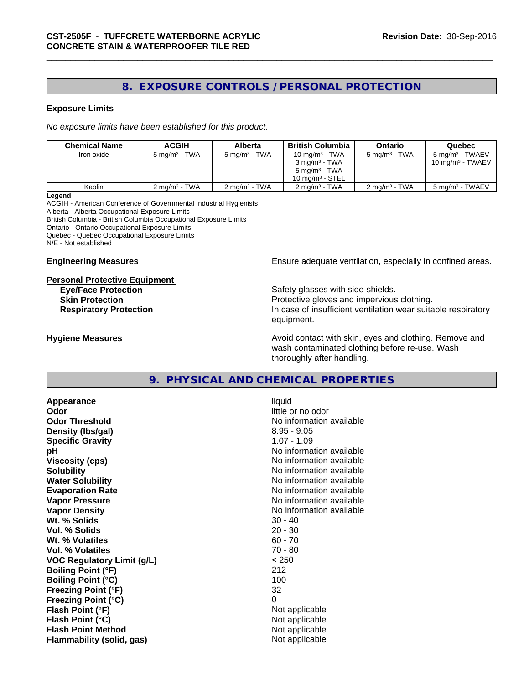# **8. EXPOSURE CONTROLS / PERSONAL PROTECTION**

#### **Exposure Limits**

*No exposure limits have been established for this product.*

| <b>Chemical Name</b> | ACGIH                    | Alberta                  | British Columbia         | Ontario                  | Quebec                       |
|----------------------|--------------------------|--------------------------|--------------------------|--------------------------|------------------------------|
| Iron oxide           | $5 \text{ ma/m}^3$ - TWA | $5 \text{ mg/m}^3$ - TWA | 10 mg/m $3$ - TWA        | $5 \text{ ma/m}^3$ - TWA | 5 mg/m <sup>3</sup> - TWAEV  |
|                      |                          |                          | $3 \text{ ma/m}^3$ - TWA |                          | 10 mg/m <sup>3</sup> - TWAEV |
|                      |                          |                          | $5 \text{ mg/m}^3$ - TWA |                          |                              |
|                      |                          |                          | 10 $ma/m3$ - STEL        |                          |                              |
| Kaolin               | $2 \text{ ma/m}^3$ - TWA | $2 \text{ ma/m}^3$ - TWA | $2 \text{ ma/m}^3$ - TWA | $2 \text{ ma/m}^3$ - TWA | 5 mg/m <sup>3</sup> - TWAEV  |

**Legend**

ACGIH - American Conference of Governmental Industrial Hygienists Alberta - Alberta Occupational Exposure Limits British Columbia - British Columbia Occupational Exposure Limits

Ontario - Ontario Occupational Exposure Limits

Quebec - Quebec Occupational Exposure Limits

N/E - Not established

# **Personal Protective Equipment**

**Engineering Measures Ensure** Ensure adequate ventilation, especially in confined areas.

**Eye/Face Protection Safety glasses with side-shields. Skin Protection Protection Protective gloves and impervious clothing. Respiratory Protection In case of insufficient ventilation wear suitable respiratory** equipment.

**Hygiene Measures Avoid contact with skin, eyes and clothing. Remove and Avoid contact with skin, eyes and clothing. Remove and Avoid contact with skin, eyes and clothing. Remove and** wash contaminated clothing before re-use. Wash thoroughly after handling.

# **9. PHYSICAL AND CHEMICAL PROPERTIES**

**Appearance** liquid **Odor** little or no odor **Odor Threshold No information available No information available Density (Ibs/gal)** 8.95 - 9.05 **Specific Gravity** 1.07 - 1.09 **pH pH**  $\blacksquare$ **Viscosity (cps)** No information available **Solubility** No information available **Water Solubility No information available No information available Evaporation Rate No information available No information available Vapor Pressure** No information available **Vapor Density No information available** No information available **Wt.** % Solids 30 - 40 **Vol. % Solids** 20 - 30 **Wt. % Volatiles** 60 - 70 **Vol. % Volatiles** 70 - 80 **VOC Regulatory Limit (g/L)** < 250 **Boiling Point (°F)** 212 **Boiling Point (°C)** 100 **Freezing Point (°F)** 32 **Freezing Point (°C)** 0 **Flash Point (°F)** Not applicable **Flash Point (°C)** Not applicable **Flash Point Method** Not applicable **Flammability (solid, gas)** Not applicable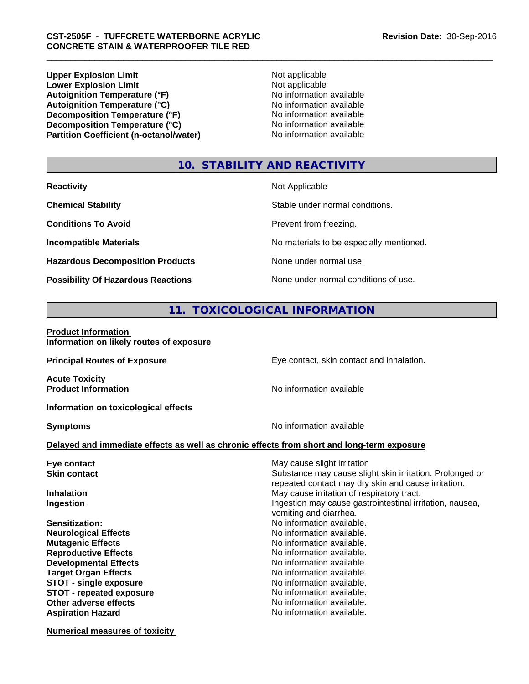**Upper Explosion Limit**<br> **Lower Explosion Limit** Not applicable<br>
Not applicable **Lower Explosion Limit**<br> **Autoignition Temperature (°F)**<br> **Autoignition Temperature (°F)**<br> **Autoignition Temperature (°F)**<br> **Autoignition Temperature (°F)** Autoignition Temperature (°F)<br> **Autoignition Temperature (°C)**<br>
No information available **Autoignition Temperature (°C)**<br> **Decomposition Temperature (°F)** No information available **Decomposition Temperature (°F)**<br> **Decomposition Temperature (°C)**<br>
No information available **Decomposition Temperature (°C) Partition Coefficient (n-octanol/water)** No information available

# **10. STABILITY AND REACTIVITY**

**Hazardous Decomposition Products** None under normal use.

**Reactivity** Not Applicable

**Chemical Stability Stability** Stable under normal conditions.

**Conditions To Avoid Prevent from freezing.** 

**Incompatible Materials Incompatible Materials No materials to be especially mentioned.** 

**Possibility Of Hazardous Reactions** None under normal conditions of use.

# **11. TOXICOLOGICAL INFORMATION**

#### **Product Information Information on likely routes of exposure**

| <b>Principal Routes of Exposure</b>                 | Eye contact, skin contact and inhalation.                                                  |
|-----------------------------------------------------|--------------------------------------------------------------------------------------------|
| <b>Acute Toxicity</b><br><b>Product Information</b> | No information available                                                                   |
|                                                     |                                                                                            |
| Information on toxicological effects                |                                                                                            |
| <b>Symptoms</b>                                     | No information available                                                                   |
|                                                     | Delayed and immediate effects as well as chronic effects from short and long-term exposure |
| Eye contact                                         | May cause slight irritation                                                                |
| <b>Skin contact</b>                                 | Substance may cause slight skin irritation. Prolonged or                                   |
|                                                     | repeated contact may dry skin and cause irritation.                                        |
| <b>Inhalation</b>                                   | May cause irritation of respiratory tract.                                                 |
| Ingestion                                           | Ingestion may cause gastrointestinal irritation, nausea,                                   |
|                                                     | vomiting and diarrhea.                                                                     |
| Sensitization:                                      | No information available.                                                                  |
| <b>Neurological Effects</b>                         | No information available.                                                                  |
| <b>Mutagenic Effects</b>                            | No information available.                                                                  |
| <b>Reproductive Effects</b>                         | No information available.                                                                  |
| <b>Developmental Effects</b>                        | No information available.                                                                  |
| <b>Target Organ Effects</b>                         | No information available.                                                                  |
| <b>STOT - single exposure</b>                       | No information available.                                                                  |
| <b>STOT - repeated exposure</b>                     | No information available.                                                                  |
| Other adverse effects                               | No information available.                                                                  |
| <b>Aspiration Hazard</b>                            | No information available.                                                                  |
|                                                     |                                                                                            |

**Numerical measures of toxicity**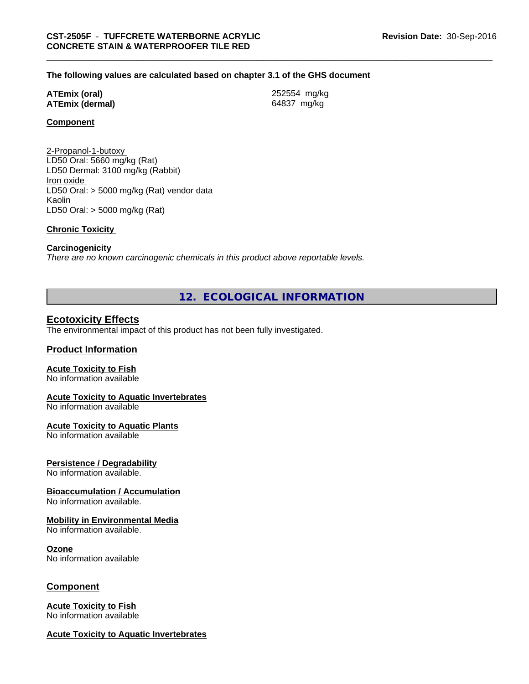#### **The following values are calculated based on chapter 3.1 of the GHS document**

#### **ATEmix (oral)** 252554 mg/kg **ATEmix (dermal)** 64837 mg/kg

#### **Component**

2-Propanol-1-butoxy LD50 Oral: 5660 mg/kg (Rat) LD50 Dermal: 3100 mg/kg (Rabbit) Iron oxide LD50 Oral: > 5000 mg/kg (Rat) vendor data Kaolin LD50 Oral: > 5000 mg/kg (Rat)

#### **Chronic Toxicity**

#### **Carcinogenicity**

*There are no known carcinogenic chemicals in this product above reportable levels.*

**12. ECOLOGICAL INFORMATION**

#### **Ecotoxicity Effects**

The environmental impact of this product has not been fully investigated.

#### **Product Information**

#### **Acute Toxicity to Fish**

No information available

## **Acute Toxicity to Aquatic Invertebrates**

No information available

#### **Acute Toxicity to Aquatic Plants**

No information available

#### **Persistence / Degradability**

No information available.

#### **Bioaccumulation / Accumulation**

No information available.

#### **Mobility in Environmental Media**

No information available.

#### **Ozone**

No information available

#### **Component**

#### **Acute Toxicity to Fish** No information available

#### **Acute Toxicity to Aquatic Invertebrates**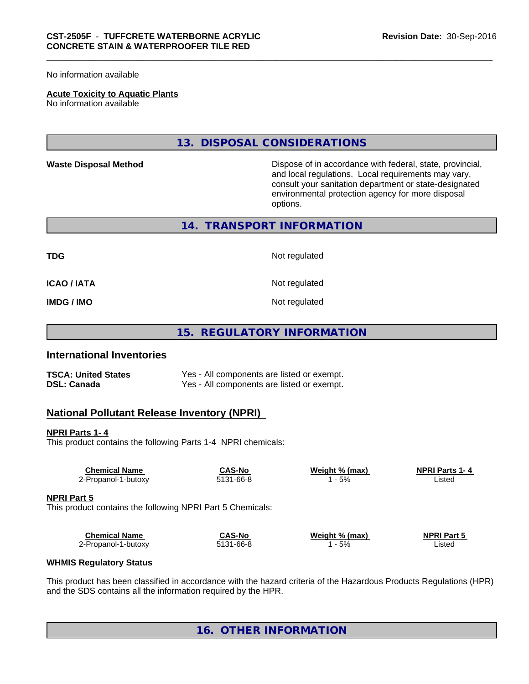No information available

#### **Acute Toxicity to Aquatic Plants**

No information available

**13. DISPOSAL CONSIDERATIONS**

**Waste Disposal Method** Mateur Dispose of in accordance with federal, state, provincial, and local regulations. Local requirements may vary, consult your sanitation department or state-designated environmental protection agency for more disposal options.

**14. TRANSPORT INFORMATION**

**TDG** Not regulated

**ICAO / IATA** Not regulated

**IMDG / IMO** Not regulated

**15. REGULATORY INFORMATION**

## **International Inventories**

**TSCA: United States** Yes - All components are listed or exempt.<br> **DSL: Canada** Yes - All components are listed or exempt. Yes - All components are listed or exempt.

## **National Pollutant Release Inventory (NPRI)**

**NPRI Parts 1- 4**

This product contains the following Parts 1-4 NPRI chemicals:

| <b>Chemical Name</b>                                       | <b>CAS-No</b> | Weight % (max) | <b>NPRI Parts 1-4</b> |  |
|------------------------------------------------------------|---------------|----------------|-----------------------|--|
| 2-Propanol-1-butoxy                                        | 5131-66-8     | 1 - 5%         | Listed                |  |
|                                                            |               |                |                       |  |
| <b>NPRI Part 5</b>                                         |               |                |                       |  |
| This product contains the following NPRI Part 5 Chemicals: |               |                |                       |  |
|                                                            |               |                |                       |  |
|                                                            |               |                |                       |  |
| <b>Chemical Name</b>                                       | <b>CAS-No</b> | Weight % (max) | <b>NPRI Part 5</b>    |  |
| 2-Propanol-1-butoxy                                        | 5131-66-8     | 1 - 5%         | Listed                |  |
| <b>WHMIS Regulatory Status</b>                             |               |                |                       |  |

This product has been classified in accordance with the hazard criteria of the Hazardous Products Regulations (HPR) and the SDS contains all the information required by the HPR.

# **16. OTHER INFORMATION**